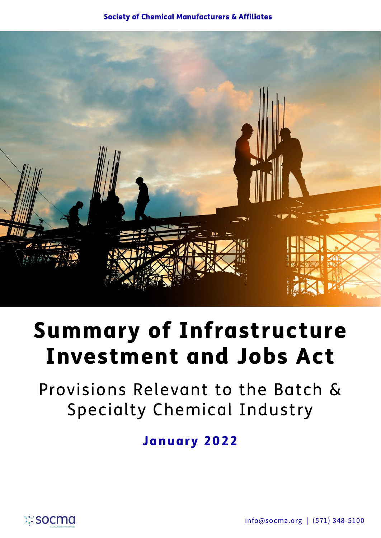#### Society of Chemical Manufacturers & Affiliates



# Summary of Infrastructure Investment and Jobs Act

Provisions Relevant to the Batch & Specialty Chemical Industry

January 2022

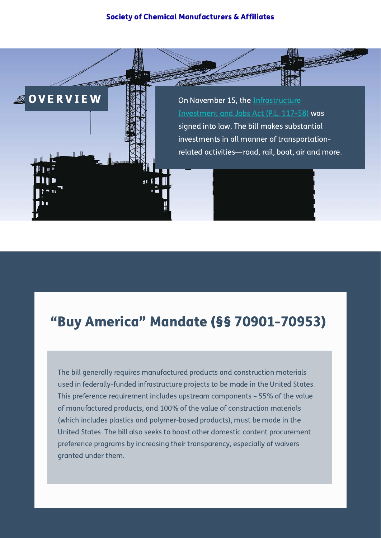#### Society of Chemical Manufacturers & Affiliates



## "Buy America" Mandate (§§ 70901-70953)

The bill generally requires manufactured products and construction materials used in federally-funded infrastructure projects to be made in the United States. This preference requirement includes upstream components – 55% of the value of manufactured products, and 100% of the value of construction materials (which includes plastics and polymer-based products), must be made in the United States. The bill also seeks to boost other domestic content procurement preference programs by increasing their transparency, especially of waivers granted under them.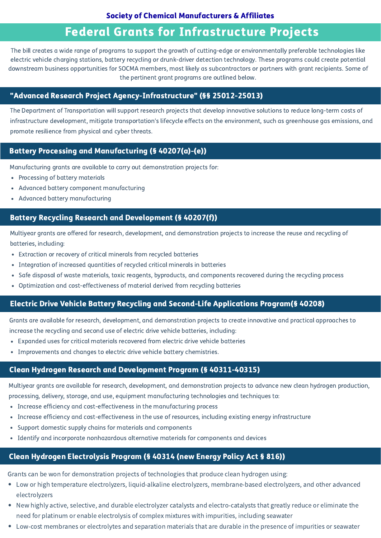#### Society of Chemical Manufacturers & Affiliates

### Federal Grants for Infrastructure Projects

The bill creates a wide range of programs to support the growth of cutting-edge or environmentally preferable technologies like electric vehicle charging stations, battery recycling or drunk-driver detection technology. These programs could create potential downstream business opportunities for SOCMA members, most likely as subcontractors or partners with grant recipients. Some of the pertinent grant programs are outlined below.

#### "Advanced Research Project Agency-Infrastructure" (§§ 25012-25013)

The Department of Transportation will support research projects that develop innovative solutions to reduce long-term costs of infrastructure development, mitigate transportation's lifecycle effects on the environment, such as greenhouse gas emissions, and promote resilience from physical and cyber threats.

#### Battery Processing and Manufacturing (§ 40207(a)-(e))

Manufacturing grants are available to carry out demonstration projects for:

- Processing of battery materials
- Advanced battery component manufacturing
- Advanced battery manufacturing

#### Battery Recycling Research and Development (§ 40207(f))

Multiyear grants are offered for research, development, and demonstration projects to increase the reuse and recycling of batteries, including:

- Extraction or recovery of critical minerals from recycled batteries
- Integration of increased quantities of recycled critical minerals in batteries
- Safe disposal of waste materials, toxic reagents, byproducts, and components recovered during the recycling process
- Optimization and cost-effectiveness of material derived from recycling batteries

#### Electric Drive Vehicle Battery Recycling and Second-Life Applications Program(§ 40208)

Grants are available for research, development, and demonstration projects to create innovative and practical approaches to increase the recycling and second use of electric drive vehicle batteries, including:

- Expanded uses for critical materials recovered from electric drive vehicle batteries
- Improvements and changes to electric drive vehicle battery chemistries.

#### Clean Hydrogen Research and Development Program (§ 40311-40315)

Multiyear grants are available for research, development, and demonstration projects to advance new clean hydrogen production, processing, delivery, storage, and use, equipment manufacturing technologies and techniques to:

- Increase efficiency and cost-effectiveness in the manufacturing process
- Increase efficiency and cost-effectiveness in the use of resources, including existing energy infrastructure
- Support domestic supply chains for materials and components
- Identify and incorporate nonhazardous alternative materials for components and devices

#### Clean Hydrogen Electrolysis Program (§ 40314 (new Energy Policy Act § 816))

Grants can be won for demonstration projects of technologies that produce clean hydrogen using:

- Low or high temperature electrolyzers, liquid-alkaline electrolyzers, membrane-based electrolyzers, and other advanced electrolyzers
- New highly active, selective, and durable electrolyzer catalysts and electro-catalysts that greatly reduce or eliminate the need for platinum or enable electrolysis of complex mixtures with impurities, including seawater
- Low-cost membranes or electrolytes and separation materials that are durable in the presence of impurities or seawater